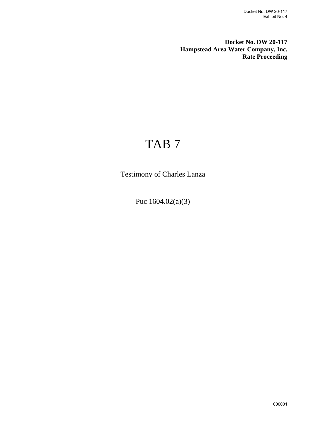**Docket No. DW 20-117 Hampstead Area Water Company, Inc. Rate Proceeding**

## TAB 7

Testimony of Charles Lanza

Puc 1604.02(a)(3)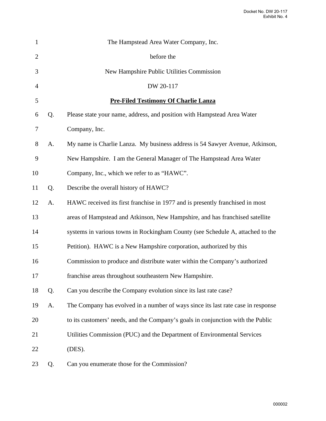| 1              |    | The Hampstead Area Water Company, Inc.                                           |
|----------------|----|----------------------------------------------------------------------------------|
| $\overline{2}$ |    | before the                                                                       |
| 3              |    | New Hampshire Public Utilities Commission                                        |
| $\overline{4}$ |    | DW 20-117                                                                        |
| 5              |    | <b>Pre-Filed Testimony Of Charlie Lanza</b>                                      |
| 6              | Q. | Please state your name, address, and position with Hampstead Area Water          |
| 7              |    | Company, Inc.                                                                    |
| 8              | A. | My name is Charlie Lanza. My business address is 54 Sawyer Avenue, Atkinson,     |
| 9              |    | New Hampshire. I am the General Manager of The Hampstead Area Water              |
| 10             |    | Company, Inc., which we refer to as "HAWC".                                      |
| 11             | Q. | Describe the overall history of HAWC?                                            |
| 12             | A. | HAWC received its first franchise in 1977 and is presently franchised in most    |
| 13             |    | areas of Hampstead and Atkinson, New Hampshire, and has franchised satellite     |
| 14             |    | systems in various towns in Rockingham County (see Schedule A, attached to the   |
| 15             |    | Petition). HAWC is a New Hampshire corporation, authorized by this               |
| 16             |    | Commission to produce and distribute water within the Company's authorized       |
| 17             |    | franchise areas throughout southeastern New Hampshire.                           |
| 18             | Q. | Can you describe the Company evolution since its last rate case?                 |
| 19             | A. | The Company has evolved in a number of ways since its last rate case in response |
| 20             |    | to its customers' needs, and the Company's goals in conjunction with the Public  |
| 21             |    | Utilities Commission (PUC) and the Department of Environmental Services          |
| 22             |    | (DES).                                                                           |
| 23             | Q. | Can you enumerate those for the Commission?                                      |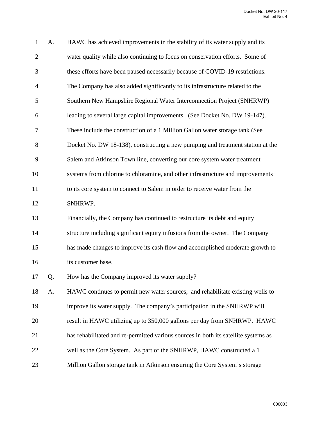| $\mathbf{1}$   | A. | HAWC has achieved improvements in the stability of its water supply and its         |
|----------------|----|-------------------------------------------------------------------------------------|
| $\overline{2}$ |    | water quality while also continuing to focus on conservation efforts. Some of       |
| 3              |    | these efforts have been paused necessarily because of COVID-19 restrictions.        |
| 4              |    | The Company has also added significantly to its infrastructure related to the       |
| 5              |    | Southern New Hampshire Regional Water Interconnection Project (SNHRWP)              |
| 6              |    | leading to several large capital improvements. (See Docket No. DW 19-147).          |
| 7              |    | These include the construction of a 1 Million Gallon water storage tank (See        |
| 8              |    | Docket No. DW 18-138), constructing a new pumping and treatment station at the      |
| 9              |    | Salem and Atkinson Town line, converting our core system water treatment            |
| 10             |    | systems from chlorine to chloramine, and other infrastructure and improvements      |
| 11             |    | to its core system to connect to Salem in order to receive water from the           |
| 12             |    | SNHRWP.                                                                             |
| 13             |    | Financially, the Company has continued to restructure its debt and equity           |
| 14             |    | structure including significant equity infusions from the owner. The Company        |
| 15             |    | has made changes to improve its cash flow and accomplished moderate growth to       |
| 16             |    | its customer base.                                                                  |
| 17             | Q. | How has the Company improved its water supply?                                      |
| 18             | A. | HAWC continues to permit new water sources, -and rehabilitate existing wells to     |
| 19             |    | improve its water supply. The company's participation in the SNHRWP will            |
| 20             |    | result in HAWC utilizing up to 350,000 gallons per day from SNHRWP. HAWC            |
| 21             |    | has rehabilitated and re-permitted various sources in both its satellite systems as |
| 22             |    | well as the Core System. As part of the SNHRWP, HAWC constructed a 1                |
| 23             |    | Million Gallon storage tank in Atkinson ensuring the Core System's storage          |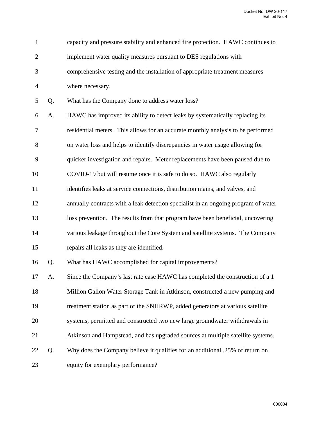| $\mathbf{1}$   |    | capacity and pressure stability and enhanced fire protection. HAWC continues to    |
|----------------|----|------------------------------------------------------------------------------------|
| $\overline{2}$ |    | implement water quality measures pursuant to DES regulations with                  |
| 3              |    | comprehensive testing and the installation of appropriate treatment measures       |
| $\overline{4}$ |    | where necessary.                                                                   |
| 5              | Q. | What has the Company done to address water loss?                                   |
| 6              | A. | HAWC has improved its ability to detect leaks by systematically replacing its      |
| $\tau$         |    | residential meters. This allows for an accurate monthly analysis to be performed   |
| 8              |    | on water loss and helps to identify discrepancies in water usage allowing for      |
| 9              |    | quicker investigation and repairs. Meter replacements have been paused due to      |
| 10             |    | COVID-19 but will resume once it is safe to do so. HAWC also regularly             |
| 11             |    | identifies leaks at service connections, distribution mains, and valves, and       |
| 12             |    | annually contracts with a leak detection specialist in an ongoing program of water |
| 13             |    | loss prevention. The results from that program have been beneficial, uncovering    |
| 14             |    | various leakage throughout the Core System and satellite systems. The Company      |
| 15             |    | repairs all leaks as they are identified.                                          |
| 16             | Q. | What has HAWC accomplished for capital improvements?                               |
| 17             | A. | Since the Company's last rate case HAWC has completed the construction of a 1      |
| 18             |    | Million Gallon Water Storage Tank in Atkinson, constructed a new pumping and       |
| 19             |    | treatment station as part of the SNHRWP, added generators at various satellite     |
| 20             |    | systems, permitted and constructed two new large groundwater withdrawals in        |
| 21             |    | Atkinson and Hampstead, and has upgraded sources at multiple satellite systems.    |
| 22             | Q. | Why does the Company believe it qualifies for an additional .25% of return on      |
| 23             |    | equity for exemplary performance?                                                  |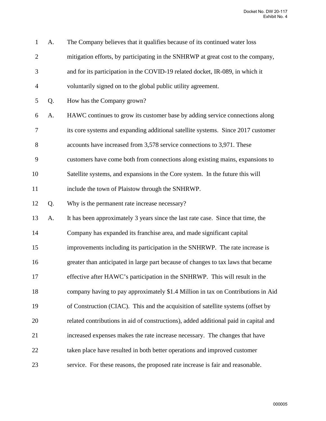| $\mathbf{1}$   | A. | The Company believes that it qualifies because of its continued water loss           |
|----------------|----|--------------------------------------------------------------------------------------|
| $\overline{2}$ |    | mitigation efforts, by participating in the SNHRWP at great cost to the company,     |
| 3              |    | and for its participation in the COVID-19 related docket, IR-089, in which it        |
| $\overline{4}$ |    | voluntarily signed on to the global public utility agreement.                        |
| 5              | Q. | How has the Company grown?                                                           |
| 6              | A. | HAWC continues to grow its customer base by adding service connections along         |
| 7              |    | its core systems and expanding additional satellite systems. Since 2017 customer     |
| 8              |    | accounts have increased from 3,578 service connections to 3,971. These               |
| 9              |    | customers have come both from connections along existing mains, expansions to        |
| 10             |    | Satellite systems, and expansions in the Core system. In the future this will        |
| 11             |    | include the town of Plaistow through the SNHRWP.                                     |
| 12             | Q. | Why is the permanent rate increase necessary?                                        |
| 13             | A. | It has been approximately 3 years since the last rate case. Since that time, the     |
| 14             |    | Company has expanded its franchise area, and made significant capital                |
| 15             |    | improvements including its participation in the SNHRWP. The rate increase is         |
| 16             |    | greater than anticipated in large part because of changes to tax laws that became    |
| 17             |    | effective after HAWC's participation in the SNHRWP. This will result in the          |
| 18             |    | company having to pay approximately \$1.4 Million in tax on Contributions in Aid     |
| 19             |    | of Construction (CIAC). This and the acquisition of satellite systems (offset by     |
| 20             |    | related contributions in aid of constructions), added additional paid in capital and |
| 21             |    | increased expenses makes the rate increase necessary. The changes that have          |
| 22             |    | taken place have resulted in both better operations and improved customer            |
| 23             |    | service. For these reasons, the proposed rate increase is fair and reasonable.       |